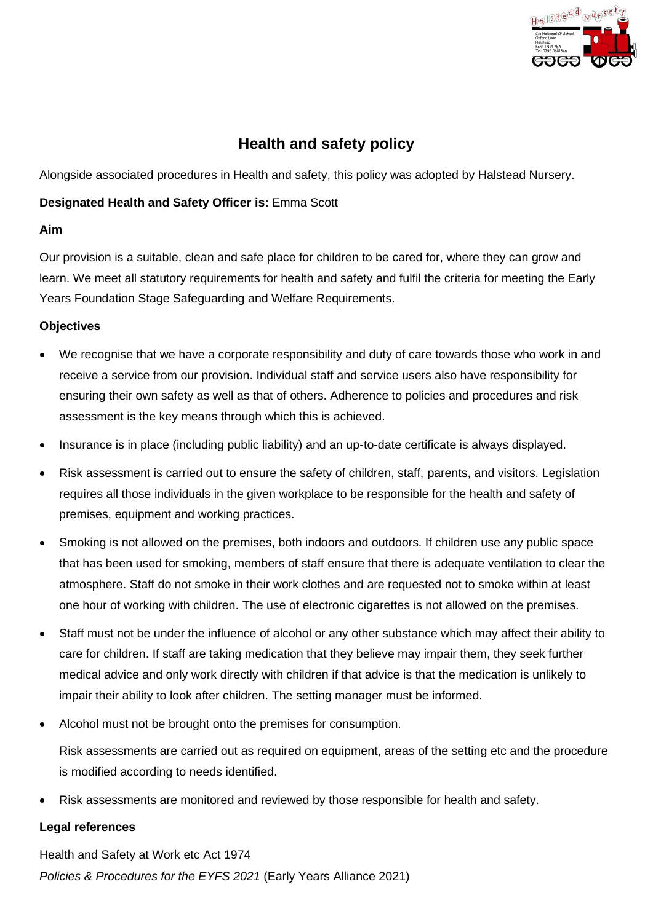

# **Health and safety policy**

Alongside associated procedures in Health and safety, this policy was adopted by Halstead Nursery.

### **Designated Health and Safety Officer is:** Emma Scott

#### **Aim**

Our provision is a suitable, clean and safe place for children to be cared for, where they can grow and learn. We meet all statutory requirements for health and safety and fulfil the criteria for meeting the Early Years Foundation Stage Safeguarding and Welfare Requirements.

#### **Objectives**

- **Policy**<br> **Policy**<br> **Posigrists associated procedures in the EYF and stately, this policy was adopted by Halstead Nusery.<br>
<b>Aim**<br> **Polynomialism and Stately Officer is:** Emma Solid<br> **Aim**<br> **Doy** provident is a suitable, ob We recognise that we have a corporate responsibility and duty of care towards those who work in and receive a service from our provision. Individual staff and service users also have responsibility for ensuring their own safety as well as that of others. Adherence to policies and procedures and risk assessment is the key means through which this is achieved.
- Insurance is in place (including public liability) and an up-to-date certificate is always displayed.
- Risk assessment is carried out to ensure the safety of children, staff, parents, and visitors. Legislation requires all those individuals in the given workplace to be responsible for the health and safety of premises, equipment and working practices.
- Smoking is not allowed on the premises, both indoors and outdoors. If children use any public space that has been used for smoking, members of staff ensure that there is adequate ventilation to clear the atmosphere. Staff do not smoke in their work clothes and are requested not to smoke within at least one hour of working with children. The use of electronic cigarettes is not allowed on the premises.
- Staff must not be under the influence of alcohol or any other substance which may affect their ability to care for children. If staff are taking medication that they believe may impair them, they seek further medical advice and only work directly with children if that advice is that the medication is unlikely to impair their ability to look after children. The setting manager must be informed.
- Alcohol must not be brought onto the premises for consumption.

Risk assessments are carried out as required on equipment, areas of the setting etc and the procedure is modified according to needs identified.

• Risk assessments are monitored and reviewed by those responsible for health and safety.

## **Legal references**

Health and Safety at Work etc Act 1974